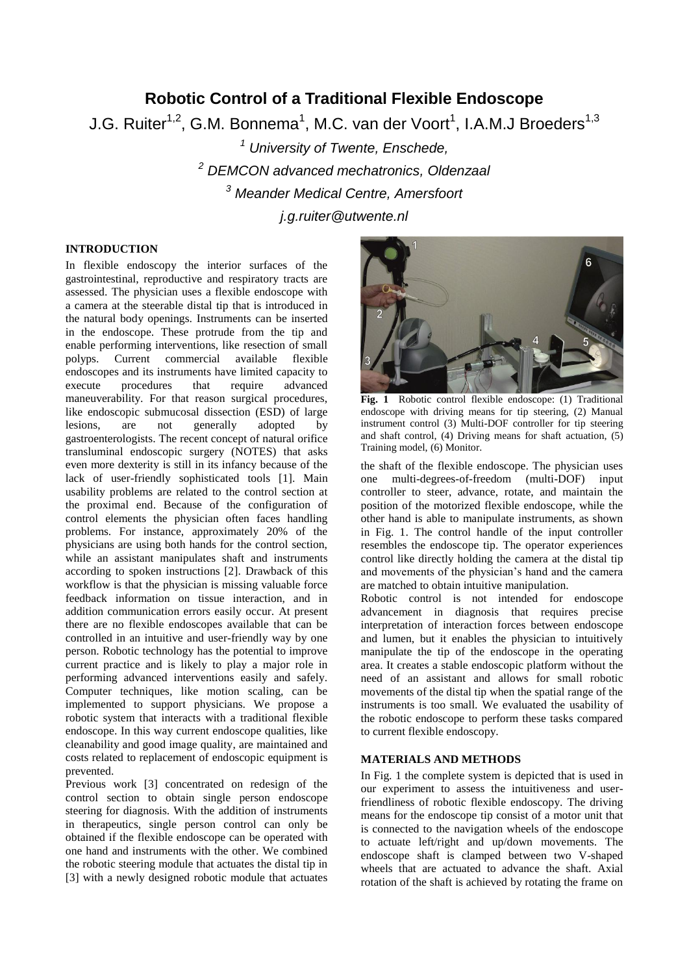# **Robotic Control of a Traditional Flexible Endoscope**

J.G. Ruiter $^{1,2}$ , G.M. Bonnema $^{1}$ , M.C. van der Voort $^{1}$ , I.A.M.J Broeders $^{1,3}$ 

 *University of Twente, Enschede, DEMCON advanced mechatronics, Oldenzaal Meander Medical Centre, Amersfoort j.g.ruiter@utwente.nl*

## **INTRODUCTION**

In flexible endoscopy the interior surfaces of the gastrointestinal, reproductive and respiratory tracts are assessed. The physician uses a flexible endoscope with a camera at the steerable distal tip that is introduced in the natural body openings. Instruments can be inserted in the endoscope. These protrude from the tip and enable performing interventions, like resection of small polyps. Current commercial available flexible endoscopes and its instruments have limited capacity to<br>execute procedures that require advanced execute procedures that require advanced maneuverability. For that reason surgical procedures, like endoscopic submucosal dissection (ESD) of large lesions, are not generally adopted by gastroenterologists. The recent concept of natural orifice transluminal endoscopic surgery (NOTES) that asks even more dexterity is still in its infancy because of the lack of user-friendly sophisticated tools [1]. Main usability problems are related to the control section at the proximal end. Because of the configuration of control elements the physician often faces handling problems. For instance, approximately 20% of the physicians are using both hands for the control section, while an assistant manipulates shaft and instruments according to spoken instructions [2]. Drawback of this workflow is that the physician is missing valuable force feedback information on tissue interaction, and in addition communication errors easily occur. At present there are no flexible endoscopes available that can be controlled in an intuitive and user-friendly way by one person. Robotic technology has the potential to improve current practice and is likely to play a major role in performing advanced interventions easily and safely. Computer techniques, like motion scaling, can be implemented to support physicians. We propose a robotic system that interacts with a traditional flexible endoscope. In this way current endoscope qualities, like cleanability and good image quality, are maintained and costs related to replacement of endoscopic equipment is prevented.

Previous work [3] concentrated on redesign of the control section to obtain single person endoscope steering for diagnosis. With the addition of instruments in therapeutics, single person control can only be obtained if the flexible endoscope can be operated with one hand and instruments with the other. We combined the robotic steering module that actuates the distal tip in [3] with a newly designed robotic module that actuates



**Fig. 1** Robotic control flexible endoscope: (1) Traditional endoscope with driving means for tip steering, (2) Manual instrument control (3) Multi-DOF controller for tip steering and shaft control, (4) Driving means for shaft actuation, (5) Training model, (6) Monitor.

the shaft of the flexible endoscope. The physician uses one multi-degrees-of-freedom (multi-DOF) input controller to steer, advance, rotate, and maintain the position of the motorized flexible endoscope, while the other hand is able to manipulate instruments, as shown in Fig. 1. The control handle of the input controller resembles the endoscope tip. The operator experiences control like directly holding the camera at the distal tip and movements of the physician's hand and the camera are matched to obtain intuitive manipulation.

Robotic control is not intended for endoscope advancement in diagnosis that requires precise interpretation of interaction forces between endoscope and lumen, but it enables the physician to intuitively manipulate the tip of the endoscope in the operating area. It creates a stable endoscopic platform without the need of an assistant and allows for small robotic movements of the distal tip when the spatial range of the instruments is too small. We evaluated the usability of the robotic endoscope to perform these tasks compared to current flexible endoscopy.

### **MATERIALS AND METHODS**

In Fig. 1 the complete system is depicted that is used in our experiment to assess the intuitiveness and userfriendliness of robotic flexible endoscopy. The driving means for the endoscope tip consist of a motor unit that is connected to the navigation wheels of the endoscope to actuate left/right and up/down movements. The endoscope shaft is clamped between two V-shaped wheels that are actuated to advance the shaft. Axial rotation of the shaft is achieved by rotating the frame on